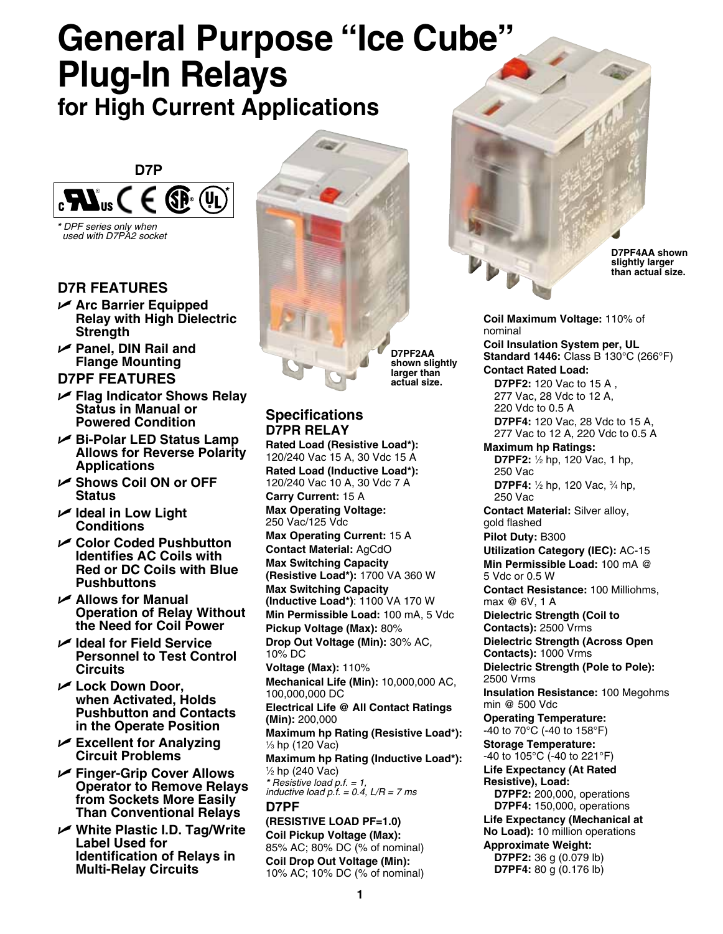# **General Purpose "Ice Cube" Plug-In Relays**

**for High Current Applications**



*\* DPF series only when used with D7PA2 socket*

## **D7R Features**

- U **Arc Barrier Equipped Relay with High Dielectric Strength**
- U **Panel, DIN Rail and Flange Mounting**

#### **D7PF Features**

- U **Flag Indicator Shows Relay Status in Manual or Powered Condition**
- U **Bi-Polar LED Status Lamp Allows for Reverse Polarity Applications**
- U **Shows Coil ON or OFF Status**
- $⊯$  **Ideal in Low Light Conditions**
- U **Color Coded Pushbutton Identifies AC Coils with Red or DC Coils with Blue Pushbuttons**
- U **Allows for Manual Operation of Relay Without the Need for Coil Power**
- U **Ideal for Field Service Personnel to Test Control Circuits**
- U **Lock Down Door, when Activated, Holds Pushbutton and Contacts in the Operate Position**
- U **Excellent for Analyzing Circuit Problems**
- U **Finger-Grip Cover Allows Operator to Remove Relays from Sockets More Easily Than Conventional Relays**
- U **White Plastic I.D. Tag/Write Label Used for Identification of Relays in Multi-Relay Circuits**



**D7PF2AA shown slightly larger than actual size.**

#### **Specifications D7PR Relay**

**Rated Load (Resistive Load\*):** 120/240 Vac 15 A, 30 Vdc 15 A **Rated Load (Inductive Load\*):**  120/240 Vac 10 A, 30 Vdc 7 A **Carry Current:** 15 A **Max Operating Voltage:** 250 Vac/125 Vdc **Max Operating Current:** 15 A **Contact Material:** AgCdO **Max Switching Capacity (Resistive Load\*):** 1700 VA 360 W **Max Switching Capacity (Inductive Load\*)**: 1100 VA 170 W **Min Permissible Load:** 100 mA, 5 Vdc **Pickup Voltage (Max):** 80% **Drop Out Voltage (Min):** 30% AC, 10% DC **Voltage (Max):** 110% **Mechanical Life (Min):** 10,000,000 AC, 100,000,000 DC **Electrical Life @ All Contact Ratings (Min):** 200,000 **Maximum hp Rating (Resistive Load\*):** 1 ⁄3 hp (120 Vac) **Maximum hp Rating (Inductive Load\*):** 1 ⁄2 hp (240 Vac) *\* Resistive load p.f. = 1, inductive load p.f. = 0.4, L/R = 7 ms* **D7PF (resistive load pf=1.0) Coil Pickup Voltage (Max):** 85% AC; 80% DC (% of nominal) **Coil Drop Out Voltage (Min):**

**D7PF4AA shown slightly larger than actual size.**

**Coil Maximum Voltage:** 110% of nominal

**Coil Insulation System per, UL Standard 1446:** Class B 130°C (266°F) **Contact Rated Load:**

 **D7PF2:** 120 Vac to 15 A , 277 Vac, 28 Vdc to 12 A, 220 Vdc to 0.5 A **D7PF4:** 120 Vac, 28 Vdc to 15 A, 277 Vac to 12 A, 220 Vdc to 0.5 A

**Maximum hp Ratings: D7PF2:** ½ hp, 120 Vac, 1 hp, 250 Vac **D7PF4:** ½ hp, 120 Vac, ¾ hp, 250 Vac

**Contact Material:** Silver alloy, gold flashed

**Pilot Duty:** B300 **Utilization Category (IEC):** AC-15 **Min Permissible Load:** 100 mA @ 5 Vdc or 0.5 W

**Contact Resistance:** 100 Milliohms, max @ 6V, 1 A

**Dielectric Strength (Coil to Contacts):** 2500 Vrms **Dielectric Strength (Across Open Contacts):** 1000 Vrms

**Dielectric Strength (Pole to Pole):** 2500 Vrms

**Insulation Resistance:** 100 Megohms min @ 500 Vdc

**Operating Temperature:**

-40 to 70°C (-40 to 158°F) **Storage Temperature:**

-40 to 105°C (-40 to 221°F) **Life Expectancy (At Rated Resistive), Load: D7PF2:** 200,000, operations **D7PF4:** 150,000, operations **Life Expectancy (Mechanical at No Load):** 10 million operations **Approximate Weight:**

**D7PF2:** 36 g (0.079 lb) **D7PF4:** 80 g (0.176 lb)

10% AC; 10% DC (% of nominal)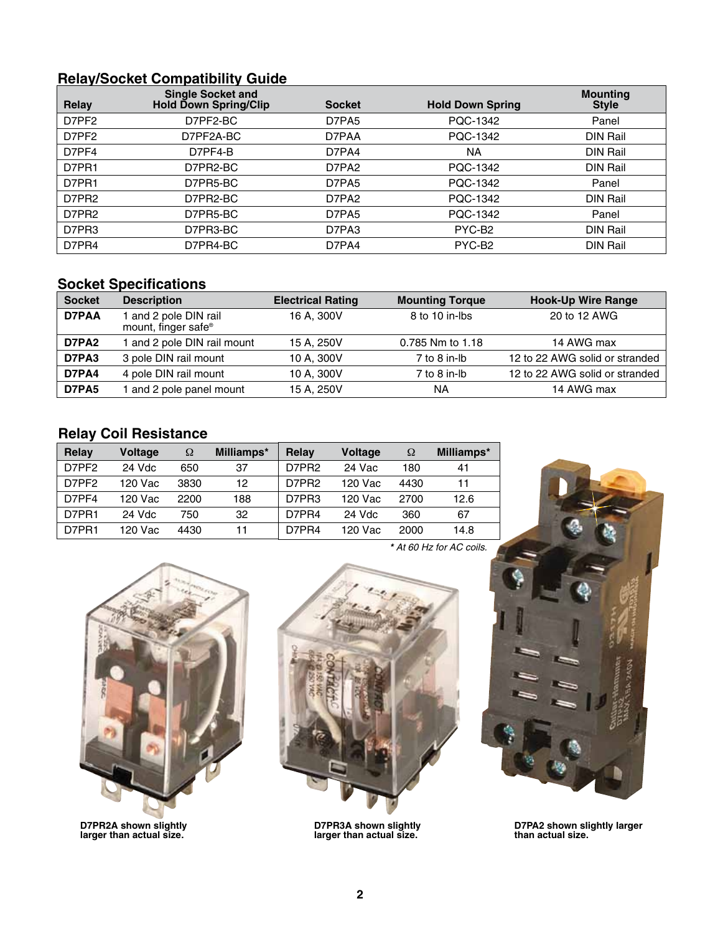### **Relay/Socket Compatibility Guide**

| <b>Relay</b> | <b>Single Socket and</b><br><b>Hold Down Spring/Clip</b> | <b>Socket</b> | <b>Hold Down Spring</b> | <b>Mounting</b><br><b>Style</b> |
|--------------|----------------------------------------------------------|---------------|-------------------------|---------------------------------|
| D7PF2        | D7PF2-BC                                                 | D7PA5         | PQC-1342                | Panel                           |
| D7PF2        | D7PF2A-BC                                                | D7PAA         | PQC-1342                | DIN Rail                        |
| D7PF4        | D7PF4-B                                                  | D7PA4         | NА                      | DIN Rail                        |
| D7PR1        | D7PR2-BC                                                 | D7PA2         | PQC-1342                | DIN Rail                        |
| D7PR1        | D7PR5-BC                                                 | D7PA5         | PQC-1342                | Panel                           |
| D7PR2        | D7PR2-BC                                                 | D7PA2         | PQC-1342                | <b>DIN Rail</b>                 |
| D7PR2        | D7PR5-BC                                                 | D7PA5         | PQC-1342                | Panel                           |
| D7PR3        | D7PR3-BC                                                 | D7PA3         | PYC-B <sub>2</sub>      | DIN Rail                        |
| D7PR4        | D7PR4-BC                                                 | D7PA4         | PYC-B <sub>2</sub>      | DIN Rail                        |

#### **Socket Specifications**

| <b>Socket</b> | <b>Description</b>                                       | <b>Electrical Rating</b> | <b>Mounting Torque</b> | <b>Hook-Up Wire Range</b>      |
|---------------|----------------------------------------------------------|--------------------------|------------------------|--------------------------------|
| D7PAA         | 1 and 2 pole DIN rail<br>mount, finger safe <sup>®</sup> | 16 A, 300V               | 8 to 10 in-lbs         | 20 to 12 AWG                   |
| D7PA2         | 1 and 2 pole DIN rail mount                              | 15 A, 250V               | 0.785 Nm to 1.18       | 14 AWG max                     |
| D7PA3         | 3 pole DIN rail mount                                    | 10 A. 300V               | 7 to 8 in-lb           | 12 to 22 AWG solid or stranded |
| D7PA4         | 4 pole DIN rail mount                                    | 10 A, 300V               | 7 to 8 in-lb           | 12 to 22 AWG solid or stranded |
| D7PA5         | and 2 pole panel mount                                   | 15 A, 250V               | NA                     | 14 AWG max                     |

## **Relay Coil Resistance**

| Relay | <b>Voltage</b> | Ω    | Milliamps* | Relay | <b>Voltage</b> | Ω    | Milliamps* |
|-------|----------------|------|------------|-------|----------------|------|------------|
| D7PF2 | 24 Vdc         | 650  | 37         | D7PR2 | 24 Vac         | 180  | 41         |
| D7PF2 | 120 Vac        | 3830 | 12         | D7PR2 | 120 Vac        | 4430 | 11         |
| D7PF4 | 120 Vac        | 2200 | 188        | D7PR3 | 120 Vac        | 2700 | 12.6       |
| D7PR1 | 24 Vdc         | 750  | 32         | D7PR4 | 24 Vdc         | 360  | 67         |
| D7PR1 | 120 Vac        | 4430 | 11         | D7PR4 | 120 Vac        | 2000 | 14.8       |



**D7PR2A shown slightly larger than actual size.**



**D7PR3A shown slightly larger than actual size.**

*\* At 60 Hz for AC coils.*



**D7PA2 shown slightly larger than actual size.**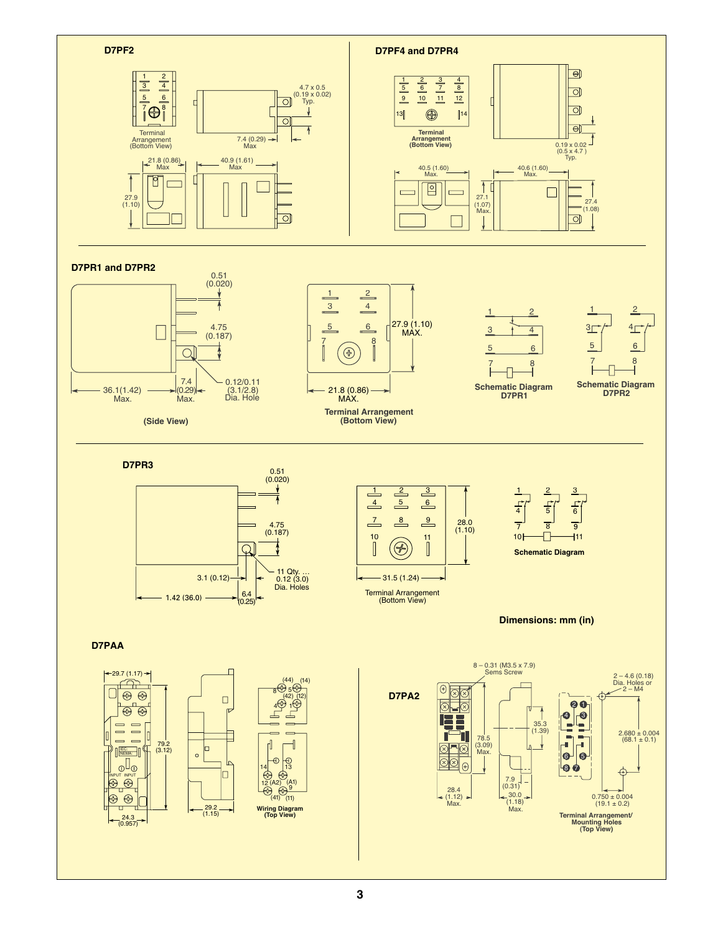